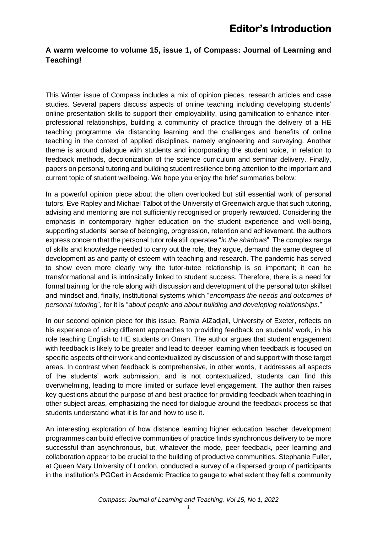#### **A warm welcome to volume 15, issue 1, of Compass: Journal of Learning and Teaching!**

This Winter issue of Compass includes a mix of opinion pieces, research articles and case studies. Several papers discuss aspects of online teaching including developing students' online presentation skills to support their employability, using gamification to enhance interprofessional relationships, building a community of practice through the delivery of a HE teaching programme via distancing learning and the challenges and benefits of online teaching in the context of applied disciplines, namely engineering and surveying. Another theme is around dialogue with students and incorporating the student voice, in relation to feedback methods, decolonization of the science curriculum and seminar delivery. Finally, papers on personal tutoring and building student resilience bring attention to the important and current topic of student wellbeing. We hope you enjoy the brief summaries below:

In a powerful opinion piece about the often overlooked but still essential work of personal tutors, Eve Rapley and Michael Talbot of the University of Greenwich argue that such tutoring, advising and mentoring are not sufficiently recognised or properly rewarded. Considering the emphasis in contemporary higher education on the student experience and well-being, supporting students' sense of belonging, progression, retention and achievement, the authors express concern that the personal tutor role still operates "*in the shadows*". The complex range of skills and knowledge needed to carry out the role, they argue, demand the same degree of development as and parity of esteem with teaching and research. The pandemic has served to show even more clearly why the tutor-tutee relationship is so important; it can be transformational and is intrinsically linked to student success. Therefore, there is a need for formal training for the role along with discussion and development of the personal tutor skillset and mindset and, finally, institutional systems which "*encompass the needs and outcomes of personal tutoring*", for it is "*about people and about building and developing relationships*."

In our second opinion piece for this issue, Ramla AlZadjali, University of Exeter, reflects on his experience of using different approaches to providing feedback on students' work, in his role teaching English to HE students on Oman. The author argues that student engagement with feedback is likely to be greater and lead to deeper learning when feedback is focused on specific aspects of their work and contextualized by discussion of and support with those target areas. In contrast when feedback is comprehensive, in other words, it addresses all aspects of the students' work submission, and is not contextualized, students can find this overwhelming, leading to more limited or surface level engagement. The author then raises key questions about the purpose of and best practice for providing feedback when teaching in other subject areas, emphasizing the need for dialogue around the feedback process so that students understand what it is for and how to use it.

An interesting exploration of how distance learning higher education teacher development programmes can build effective communities of practice finds synchronous delivery to be more successful than asynchronous, but, whatever the mode, peer feedback, peer learning and collaboration appear to be crucial to the building of productive communities. Stephanie Fuller, at Queen Mary University of London, conducted a survey of a dispersed group of participants in the institution's PGCert in Academic Practice to gauge to what extent they felt a community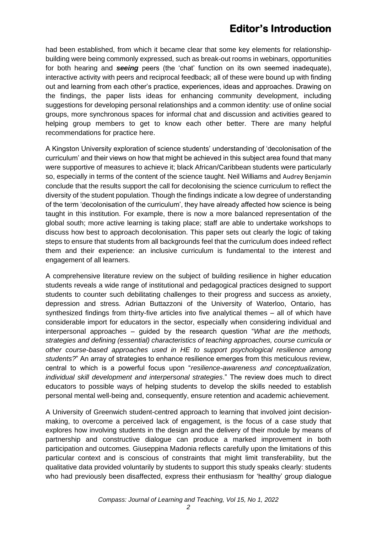had been established, from which it became clear that some key elements for relationshipbuilding were being commonly expressed, such as break-out rooms in webinars, opportunities for both hearing and *seeing* peers (the 'chat' function on its own seemed inadequate), interactive activity with peers and reciprocal feedback; all of these were bound up with finding out and learning from each other's practice, experiences, ideas and approaches. Drawing on the findings, the paper lists ideas for enhancing community development, including suggestions for developing personal relationships and a common identity: use of online social groups, more synchronous spaces for informal chat and discussion and activities geared to helping group members to get to know each other better. There are many helpful recommendations for practice here.

A Kingston University exploration of science students' understanding of 'decolonisation of the curriculum' and their views on how that might be achieved in this subject area found that many were supportive of measures to achieve it; black African/Caribbean students were particularly so, especially in terms of the content of the science taught. Neil Williams and Audrey Benjamin conclude that the results support the call for decolonising the science curriculum to reflect the diversity of the student population. Though the findings indicate a low degree of understanding of the term 'decolonisation of the curriculum', they have already affected how science is being taught in this institution. For example, there is now a more balanced representation of the global south; more active learning is taking place; staff are able to undertake workshops to discuss how best to approach decolonisation. This paper sets out clearly the logic of taking steps to ensure that students from all backgrounds feel that the curriculum does indeed reflect them and their experience: an inclusive curriculum is fundamental to the interest and engagement of all learners.

A comprehensive literature review on the subject of building resilience in higher education students reveals a wide range of institutional and pedagogical practices designed to support students to counter such debilitating challenges to their progress and success as anxiety, depression and stress. Adrian Buttazzoni of the University of Waterloo, Ontario, has synthesized findings from thirty-five articles into five analytical themes – all of which have considerable import for educators in the sector, especially when considering individual and interpersonal approaches – guided by the research question "*What are the methods, strategies and defining (essential) characteristics of teaching approaches, course curricula or other course-based approaches used in HE to support psychological resilience among students?*" An array of strategies to enhance resilience emerges from this meticulous review, central to which is a powerful focus upon "*resilience-awareness and conceptualization, individual skill development and interpersonal strategies*." The review does much to direct educators to possible ways of helping students to develop the skills needed to establish personal mental well-being and, consequently, ensure retention and academic achievement.

A University of Greenwich student-centred approach to learning that involved joint decisionmaking, to overcome a perceived lack of engagement, is the focus of a case study that explores how involving students in the design and the delivery of their module by means of partnership and constructive dialogue can produce a marked improvement in both participation and outcomes. Giuseppina Madonia reflects carefully upon the limitations of this particular context and is conscious of constraints that might limit transferability, but the qualitative data provided voluntarily by students to support this study speaks clearly: students who had previously been disaffected, express their enthusiasm for 'healthy' group dialogue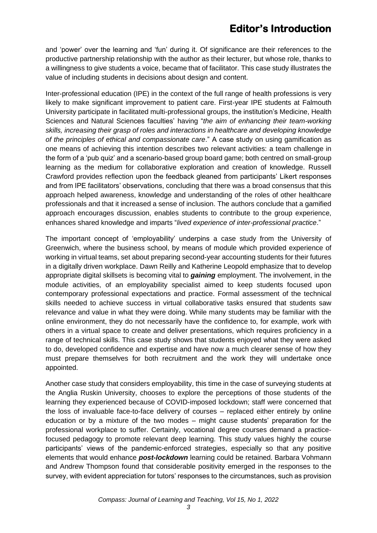and 'power' over the learning and 'fun' during it. Of significance are their references to the productive partnership relationship with the author as their lecturer, but whose role, thanks to a willingness to give students a voice, became that of facilitator. This case study illustrates the value of including students in decisions about design and content.

Inter-professional education (IPE) in the context of the full range of health professions is very likely to make significant improvement to patient care. First-year IPE students at Falmouth University participate in facilitated multi-professional groups, the institution's Medicine, Health Sciences and Natural Sciences faculties' having "*the aim of enhancing their team-working skills, increasing their grasp of roles and interactions in healthcare and developing knowledge of the principles of ethical and compassionate care*." A case study on using gamification as one means of achieving this intention describes two relevant activities: a team challenge in the form of a 'pub quiz' and a scenario-based group board game; both centred on small-group learning as the medium for collaborative exploration and creation of knowledge. Russell Crawford provides reflection upon the feedback gleaned from participants' Likert responses and from IPE facilitators' observations, concluding that there was a broad consensus that this approach helped awareness, knowledge and understanding of the roles of other healthcare professionals and that it increased a sense of inclusion. The authors conclude that a gamified approach encourages discussion, enables students to contribute to the group experience, enhances shared knowledge and imparts "*lived experience of inter-professional practice*."

The important concept of 'employability' underpins a case study from the University of Greenwich, where the business school, by means of module which provided experience of working in virtual teams, set about preparing second-year accounting students for their futures in a digitally driven workplace. Dawn Reilly and Katherine Leopold emphasize that to develop appropriate digital skillsets is becoming vital to *gaining* employment. The involvement, in the module activities, of an employability specialist aimed to keep students focused upon contemporary professional expectations and practice. Formal assessment of the technical skills needed to achieve success in virtual collaborative tasks ensured that students saw relevance and value in what they were doing. While many students may be familiar with the online environment, they do not necessarily have the confidence to, for example, work with others in a virtual space to create and deliver presentations, which requires proficiency in a range of technical skills. This case study shows that students enjoyed what they were asked to do, developed confidence and expertise and have now a much clearer sense of how they must prepare themselves for both recruitment and the work they will undertake once appointed.

Another case study that considers employability, this time in the case of surveying students at the Anglia Ruskin University, chooses to explore the perceptions of those students of the learning they experienced because of COVID-imposed lockdown; staff were concerned that the loss of invaluable face-to-face delivery of courses – replaced either entirely by online education or by a mixture of the two modes – might cause students' preparation for the professional workplace to suffer. Certainly, vocational degree courses demand a practicefocused pedagogy to promote relevant deep learning. This study values highly the course participants' views of the pandemic-enforced strategies, especially so that any positive elements that would enhance *post-lockdown* learning could be retained. Barbara Vohmann and Andrew Thompson found that considerable positivity emerged in the responses to the survey, with evident appreciation for tutors' responses to the circumstances, such as provision